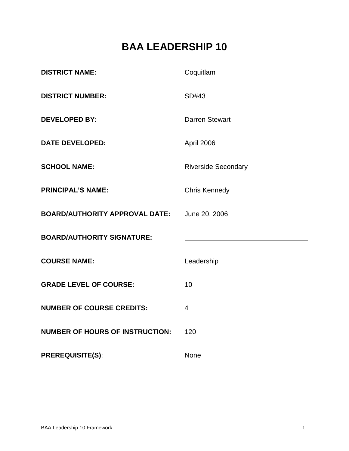# **BAA LEADERSHIP 10**

| <b>DISTRICT NAME:</b>                  | Coquitlam                  |
|----------------------------------------|----------------------------|
| <b>DISTRICT NUMBER:</b>                | SD#43                      |
| <b>DEVELOPED BY:</b>                   | <b>Darren Stewart</b>      |
| <b>DATE DEVELOPED:</b>                 | April 2006                 |
| <b>SCHOOL NAME:</b>                    | <b>Riverside Secondary</b> |
| <b>PRINCIPAL'S NAME:</b>               | <b>Chris Kennedy</b>       |
| <b>BOARD/AUTHORITY APPROVAL DATE:</b>  | June 20, 2006              |
| <b>BOARD/AUTHORITY SIGNATURE:</b>      |                            |
| <b>COURSE NAME:</b>                    | Leadership                 |
| <b>GRADE LEVEL OF COURSE:</b>          | 10                         |
| <b>NUMBER OF COURSE CREDITS:</b>       | $\overline{4}$             |
| <b>NUMBER OF HOURS OF INSTRUCTION:</b> | 120                        |
| <b>PREREQUISITE(S):</b>                | None                       |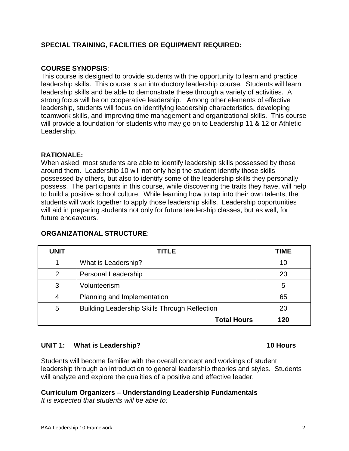# **SPECIAL TRAINING, FACILITIES OR EQUIPMENT REQUIRED:**

## **COURSE SYNOPSIS**:

This course is designed to provide students with the opportunity to learn and practice leadership skills. This course is an introductory leadership course. Students will learn leadership skills and be able to demonstrate these through a variety of activities. A strong focus will be on cooperative leadership. Among other elements of effective leadership, students will focus on identifying leadership characteristics, developing teamwork skills, and improving time management and organizational skills. This course will provide a foundation for students who may go on to Leadership 11 & 12 or Athletic Leadership.

# **RATIONALE:**

When asked, most students are able to identify leadership skills possessed by those around them. Leadership 10 will not only help the student identify those skills possessed by others, but also to identify some of the leadership skills they personally possess. The participants in this course, while discovering the traits they have, will help to build a positive school culture. While learning how to tap into their own talents, the students will work together to apply those leadership skills. Leadership opportunities will aid in preparing students not only for future leadership classes, but as well, for future endeavours.

| <b>UNIT</b>        | TITLE                                                | TIME |
|--------------------|------------------------------------------------------|------|
|                    | What is Leadership?                                  | 10   |
| 2                  | Personal Leadership                                  | 20   |
| 3                  | Volunteerism                                         | 5    |
|                    | Planning and Implementation                          | 65   |
| 5                  | <b>Building Leadership Skills Through Reflection</b> | 20   |
| <b>Total Hours</b> |                                                      | 120  |

### **ORGANIZATIONAL STRUCTURE**:

# **UNIT 1: What is Leadership? 10 Hours**

Students will become familiar with the overall concept and workings of student leadership through an introduction to general leadership theories and styles. Students will analyze and explore the qualities of a positive and effective leader.

### **Curriculum Organizers – Understanding Leadership Fundamentals**

*It is expected that students will be able to:*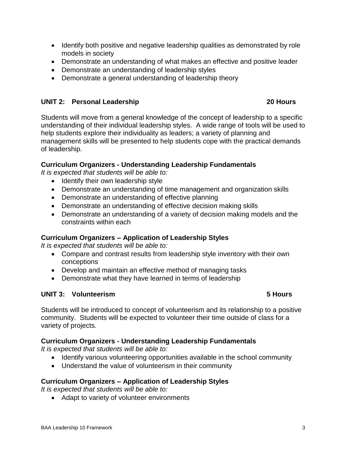- Identify both positive and negative leadership qualities as demonstrated by role models in society
- Demonstrate an understanding of what makes an effective and positive leader
- Demonstrate an understanding of leadership styles
- Demonstrate a general understanding of leadership theory

### **UNIT 2: Personal Leadership 20 Hours**

Students will move from a general knowledge of the concept of leadership to a specific understanding of their individual leadership styles. A wide range of tools will be used to help students explore their individuality as leaders; a variety of planning and management skills will be presented to help students cope with the practical demands of leadership.

### **Curriculum Organizers - Understanding Leadership Fundamentals**

*It is expected that students will be able to:*

- Identify their own leadership style
- Demonstrate an understanding of time management and organization skills
- Demonstrate an understanding of effective planning
- Demonstrate an understanding of effective decision making skills
- Demonstrate an understanding of a variety of decision making models and the constraints within each

### **Curriculum Organizers – Application of Leadership Styles**

*It is expected that students will be able to:*

- Compare and contrast results from leadership style inventory with their own conceptions
- Develop and maintain an effective method of managing tasks
- Demonstrate what they have learned in terms of leadership

### **UNIT 3: Volunteerism 5 Hours**

Students will be introduced to concept of volunteerism and its relationship to a positive community. Students will be expected to volunteer their time outside of class for a variety of projects.

### **Curriculum Organizers - Understanding Leadership Fundamentals**

*It is expected that students will be able to:*

- Identify various volunteering opportunities available in the school community
- Understand the value of volunteerism in their community

### **Curriculum Organizers – Application of Leadership Styles**

*It is expected that students will be able to:*

• Adapt to variety of volunteer environments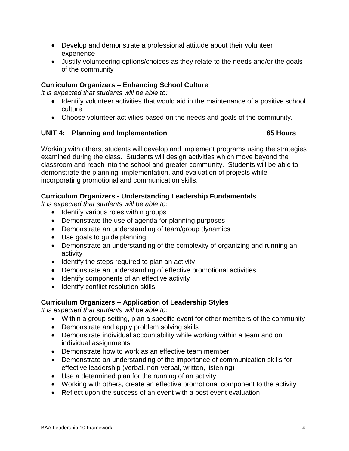- Develop and demonstrate a professional attitude about their volunteer experience
- Justify volunteering options/choices as they relate to the needs and/or the goals of the community

# **Curriculum Organizers – Enhancing School Culture**

*It is expected that students will be able to:*

- Identify volunteer activities that would aid in the maintenance of a positive school culture
- Choose volunteer activities based on the needs and goals of the community.

# **UNIT 4: Planning and Implementation 65 Hours**

Working with others, students will develop and implement programs using the strategies examined during the class. Students will design activities which move beyond the classroom and reach into the school and greater community. Students will be able to demonstrate the planning, implementation, and evaluation of projects while incorporating promotional and communication skills.

# **Curriculum Organizers - Understanding Leadership Fundamentals**

*It is expected that students will be able to:*

- Identify various roles within groups
- Demonstrate the use of agenda for planning purposes
- Demonstrate an understanding of team/group dynamics
- Use goals to guide planning
- Demonstrate an understanding of the complexity of organizing and running an activity
- $\bullet$  Identify the steps required to plan an activity
- Demonstrate an understanding of effective promotional activities.
- Identify components of an effective activity
- Identify conflict resolution skills

# **Curriculum Organizers – Application of Leadership Styles**

*It is expected that students will be able to:*

- Within a group setting, plan a specific event for other members of the community
- Demonstrate and apply problem solving skills
- Demonstrate individual accountability while working within a team and on individual assignments
- Demonstrate how to work as an effective team member
- Demonstrate an understanding of the importance of communication skills for effective leadership (verbal, non-verbal, written, listening)
- Use a determined plan for the running of an activity
- Working with others, create an effective promotional component to the activity
- Reflect upon the success of an event with a post event evaluation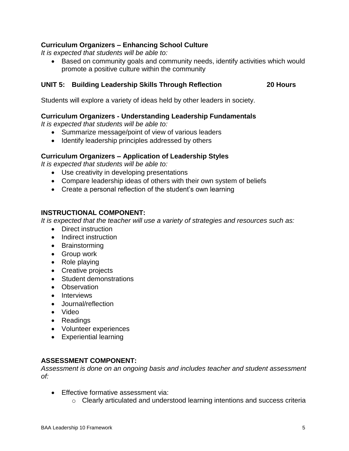# **Curriculum Organizers – Enhancing School Culture**

*It is expected that students will be able to:*

 Based on community goals and community needs, identify activities which would promote a positive culture within the community

#### **UNIT 5: Building Leadership Skills Through Reflection 20 Hours**

Students will explore a variety of ideas held by other leaders in society.

#### **Curriculum Organizers - Understanding Leadership Fundamentals**

*It is expected that students will be able to:*

- Summarize message/point of view of various leaders
- Identify leadership principles addressed by others

#### **Curriculum Organizers – Application of Leadership Styles**

*It is expected that students will be able to:*

- Use creativity in developing presentations
- Compare leadership ideas of others with their own system of beliefs
- Create a personal reflection of the student's own learning

#### **INSTRUCTIONAL COMPONENT:**

*It is expected that the teacher will use a variety of strategies and resources such as:*

- Direct instruction
- Indirect instruction
- Brainstorming
- Group work
- Role playing
- Creative projects
- Student demonstrations
- Observation
- Interviews
- Journal/reflection
- Video
- Readings
- Volunteer experiences
- Experiential learning

#### **ASSESSMENT COMPONENT:**

*Assessment is done on an ongoing basis and includes teacher and student assessment of:*

- Effective formative assessment via:
	- o Clearly articulated and understood learning intentions and success criteria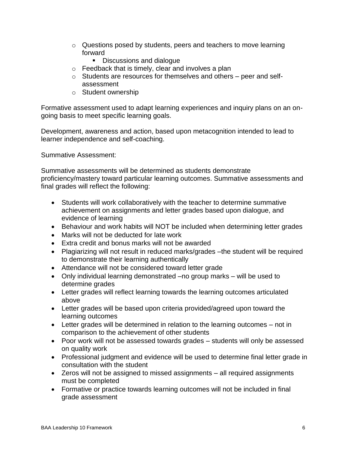- $\circ$  Questions posed by students, peers and teachers to move learning forward
	- Discussions and dialogue
- $\circ$  Feedback that is timely, clear and involves a plan
- o Students are resources for themselves and others peer and selfassessment
- o Student ownership

Formative assessment used to adapt learning experiences and inquiry plans on an ongoing basis to meet specific learning goals.

Development, awareness and action, based upon metacognition intended to lead to learner independence and self-coaching.

Summative Assessment:

Summative assessments will be determined as students demonstrate proficiency/mastery toward particular learning outcomes. Summative assessments and final grades will reflect the following:

- Students will work collaboratively with the teacher to determine summative achievement on assignments and letter grades based upon dialogue, and evidence of learning
- Behaviour and work habits will NOT be included when determining letter grades
- Marks will not be deducted for late work
- Extra credit and bonus marks will not be awarded
- Plagiarizing will not result in reduced marks/grades –the student will be required to demonstrate their learning authentically
- Attendance will not be considered toward letter grade
- Only individual learning demonstrated –no group marks will be used to determine grades
- Letter grades will reflect learning towards the learning outcomes articulated above
- Letter grades will be based upon criteria provided/agreed upon toward the learning outcomes
- Letter grades will be determined in relation to the learning outcomes not in comparison to the achievement of other students
- Poor work will not be assessed towards grades students will only be assessed on quality work
- Professional judgment and evidence will be used to determine final letter grade in consultation with the student
- Zeros will not be assigned to missed assignments all required assignments must be completed
- Formative or practice towards learning outcomes will not be included in final grade assessment